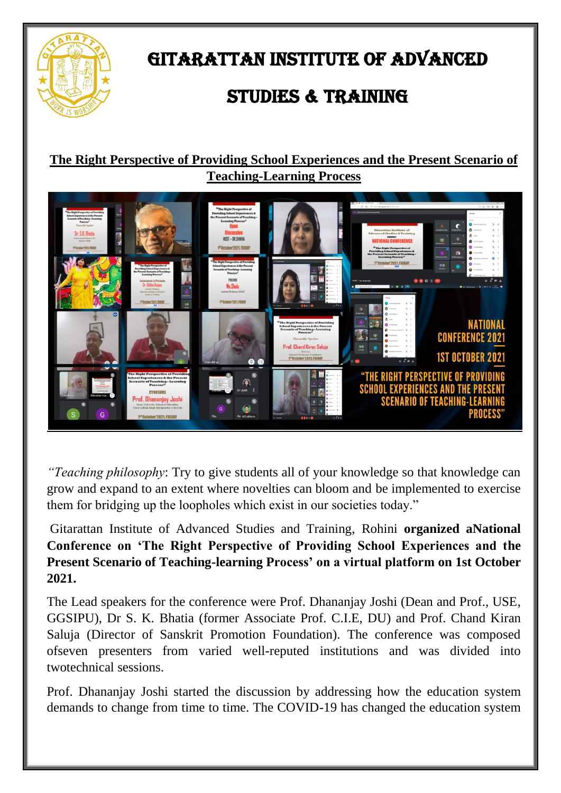

### GITARATTAN INSTITUTE OF ADVANCED

## STUDIES & TRAINING

#### **The Right Perspective of Providing School Experiences and the Present Scenario of Teaching-Learning Process**



*"Teaching philosophy*: Try to give students all of your knowledge so that knowledge can grow and expand to an extent where novelties can bloom and be implemented to exercise them for bridging up the loopholes which exist in our societies today."

Gitarattan Institute of Advanced Studies and Training, Rohini **organized aNational Conference on 'The Right Perspective of Providing School Experiences and the Present Scenario of Teaching-learning Process' on a virtual platform on 1st October 2021.**

The Lead speakers for the conference were Prof. Dhananjay Joshi (Dean and Prof., USE, GGSIPU), Dr S. K. Bhatia (former Associate Prof. C.I.E, DU) and Prof. Chand Kiran Saluja (Director of Sanskrit Promotion Foundation). The conference was composed ofseven presenters from varied well-reputed institutions and was divided into twotechnical sessions.

Prof. Dhananjay Joshi started the discussion by addressing how the education system demands to change from time to time. The COVID-19 has changed the education system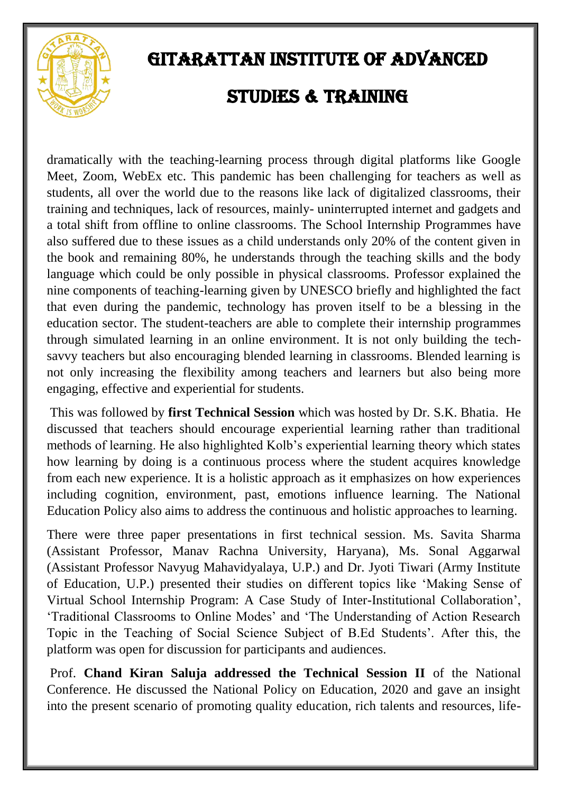

## GITARATTAN INSTITUTE OF ADVANCED STUDIES & TRAINING

dramatically with the teaching-learning process through digital platforms like Google Meet, Zoom, WebEx etc. This pandemic has been challenging for teachers as well as students, all over the world due to the reasons like lack of digitalized classrooms, their training and techniques, lack of resources, mainly- uninterrupted internet and gadgets and a total shift from offline to online classrooms. The School Internship Programmes have also suffered due to these issues as a child understands only 20% of the content given in the book and remaining 80%, he understands through the teaching skills and the body language which could be only possible in physical classrooms. Professor explained the nine components of teaching-learning given by UNESCO briefly and highlighted the fact that even during the pandemic, technology has proven itself to be a blessing in the education sector. The student-teachers are able to complete their internship programmes through simulated learning in an online environment. It is not only building the techsavvy teachers but also encouraging blended learning in classrooms. Blended learning is not only increasing the flexibility among teachers and learners but also being more engaging, effective and experiential for students.

This was followed by **first Technical Session** which was hosted by Dr. S.K. Bhatia. He discussed that teachers should encourage experiential learning rather than traditional methods of learning. He also highlighted Kolb's experiential learning theory which states how learning by doing is a continuous process where the student acquires knowledge from each new experience. It is a holistic approach as it emphasizes on how experiences including cognition, environment, past, emotions influence learning. The National Education Policy also aims to address the continuous and holistic approaches to learning.

There were three paper presentations in first technical session. Ms. Savita Sharma (Assistant Professor, Manav Rachna University, Haryana), Ms. Sonal Aggarwal (Assistant Professor Navyug Mahavidyalaya, U.P.) and Dr. Jyoti Tiwari (Army Institute of Education, U.P.) presented their studies on different topics like 'Making Sense of Virtual School Internship Program: A Case Study of Inter-Institutional Collaboration', 'Traditional Classrooms to Online Modes' and 'The Understanding of Action Research Topic in the Teaching of Social Science Subject of B.Ed Students'. After this, the platform was open for discussion for participants and audiences.

Prof. **Chand Kiran Saluja addressed the Technical Session II** of the National Conference. He discussed the National Policy on Education, 2020 and gave an insight into the present scenario of promoting quality education, rich talents and resources, life-